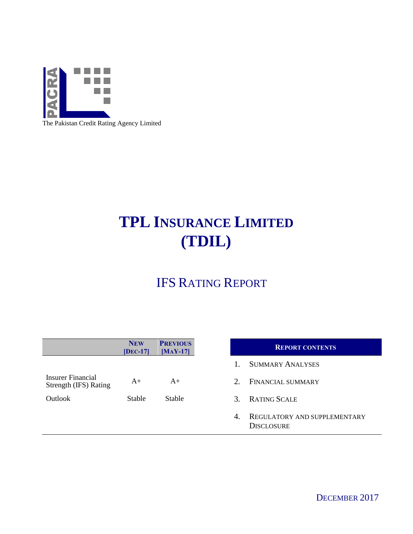

The Pakistan Credit Rating Agency Limited

# **TPL INSURANCE LIMITED (TDIL)**

## IFS RATING REPORT

|                                            | <b>NEW</b><br>$[DEC-17]$ | <b>PREVIOUS</b><br>$[MAY-17]$ |                        | <b>REPORT CONTENTS</b>                                   |  |
|--------------------------------------------|--------------------------|-------------------------------|------------------------|----------------------------------------------------------|--|
|                                            |                          |                               |                        | <b>SUMMARY ANALYSES</b>                                  |  |
| Insurer Financial<br>Strength (IFS) Rating | $A+$                     | $A+$                          | $2_{-}$                | FINANCIAL SUMMARY                                        |  |
| <b>Outlook</b>                             | Stable                   | <b>Stable</b>                 | $\mathcal{R}_{\alpha}$ | <b>RATING SCALE</b>                                      |  |
|                                            |                          |                               | 4.                     | <b>REGULATORY AND SUPPLEMENTARY</b><br><b>DISCLOSURE</b> |  |

DECEMBER 2017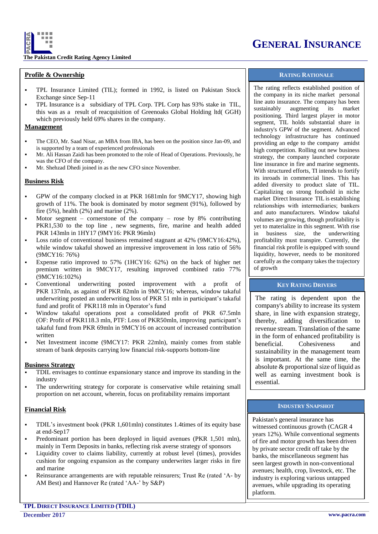

**The Pakistan Credit Rating Agency Limited**

### **Profile & Ownership**

- TPL Insurance Limited (TIL); formed in 1992, is listed on Pakistan Stock Exchange since Sep-11
- TPL Insurance is a subsidiary of TPL Corp. TPL Corp has 93% stake in TIL, this was as a result of reacquisition of Greenoaks Global Holding ltd( GGH) which previously held 69% shares in the company.

### **Management**

- The CEO, Mr. Saad Nisar, an MBA from IBA, has been on the position since Jan-09, and is supported by a team of experienced professionals
- Mr. Ali Hassan Zaidi has been promoted to the role of Head of Operations. Previously, he was the CFO of the company.
- Mr. Shehzad Dhedi joined in as the new CFO since November.

### **Business Risk**

- GPW of the company clocked in at PKR 1681mln for 9MCY17, showing high growth of 11%. The book is dominated by motor segment (91%), followed by fire  $(5\%)$ , health  $(2\%)$  and marine  $(2\%)$ .
- Motor segment cornerstone of the company rose by  $8\%$  contributing PKR1,530 to the top line, new segments, fire, marine and health added PKR 143mln in 1HY17 (9MY16: PKR 96mln)
- Loss ratio of conventional business remained stagnant at 42% (9MCY16:42%), while window takaful showed an impressive improvement in loss ratio of 56% (9MCY16: 76%)
- Expense ratio improved to 57% (1HCY16: 62%) on the back of higher net premium written in 9MCY17, resulting improved combined ratio 77% (9MCY16:102%)
- Conventional underwriting posted improvement with a profit of PKR 137mln, as against of PKR 82mln in 9MCY16; whereas, window takaful underwriting posted an underwriting loss of PKR 51 mln in participant's takaful fund and profit of PKR118 mln in Operator's fund
- Window takaful operations post a consolidated profit of PKR 67.5mln (OF: Profit of PKR118.3 mln, PTF: Loss of PKR50mln, improving participant's takaful fund from PKR 69mln in 9MCY16 on account of increased contribution written
- Net Investment income (9MCY17: PKR 22mln), mainly comes from stable stream of bank deposits carrying low financial risk-supports bottom-line

#### **Business Strategy**

- TDIL envisages to continue expansionary stance and improve its standing in the industry
- The underwriting strategy for corporate is conservative while retaining small proportion on net account, wherein, focus on profitability remains important

#### **Financial Risk**

- TDIL's investment book (PKR 1,601mln) constitutes 1.4times of its equity base at end-Sep17
- Predominant portion has been deployed in liquid avenues (PKR 1,501 mln), mainly in Term Deposits in banks, reflecting risk averse strategy of sponsors
- Liquidity cover to claims liability, currently at robust level (times), provides cushion for ongoing expansion as the company underwrites larger risks in fire and marine
- Reinsurance arrangements are with reputable reinsurers; Trust Re (rated 'A- by AM Best) and Hannover Re (rated 'AA-' by S&P)

### **GENERAL INSURANCE**

### **RATING RATIONALE**

The rating reflects established position of the company in its niche market personal line auto insurance. The company has been sustainably augmenting its market positioning. Third largest player in motor segment, TIL holds substantial share in industry's GPW of the segment. Advanced technology infrastructure has continued providing an edge to the company amidst high competition. Rolling out new business strategy, the company launched corporate line insurance in fire and marine segments. With structured efforts, TI intends to fortify its inroads in commercial lines. This has added diversity to product slate of TIL. Capitalizing on strong foothold in niche market Direct Insurance TIL is establishing relationships with intermediaries; bankers and auto manufacturers. Window takaful volumes are growing, though profitability is yet to materialize in this segment. With rise in business size, the underwriting profitability must transpire. Currently, the financial risk profile is equipped with sound liquidity, however, needs to be monitored carefully as the company takes the trajectory of growth

### **KEY RATING DRIVERS**

The rating is dependent upon the company's ability to increase its system share, in line with expansion strategy, thereby, adding diversification to revenue stream. Translation of the same in the form of enhanced profitability is beneficial. Cohesiveness and sustainability in the management team is important. At the same time, the absolute & proportional size of liquid as well as earning investment book is essential.

### **INDUSTRY SNAPSHOT**

Pakistan's general insurance has witnessed continuous growth (CAGR 4 years 12%). While conventional segments of fire and motor growth has been driven by private sector credit off take by the banks, the miscellaneous segment has seen largest growth in non-conventional avenues; health, crop, livestock, etc. The industry is exploring various untapped avenues, while upgrading its operating platform.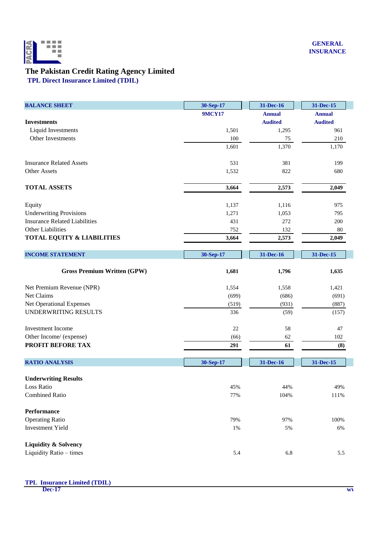

### **The Pakistan Credit Rating Agency Limited**

**TPL Direct Insurance Limited (TDIL)**

| <b>BALANCE SHEET</b>                  | 30-Sep-17     | 31-Dec-16      | 31-Dec-15      |
|---------------------------------------|---------------|----------------|----------------|
|                                       | <b>9MCY17</b> | <b>Annual</b>  | <b>Annual</b>  |
| <b>Investments</b>                    |               | <b>Audited</b> | <b>Audited</b> |
| Liquid Investments                    | 1,501         | 1,295          | 961            |
| Other Investments                     | 100           | 75             | 210            |
|                                       | 1,601         | 1,370          | 1,170          |
| <b>Insurance Related Assets</b>       | 531           | 381            | 199            |
| <b>Other Assets</b>                   | 1,532         | 822            | 680            |
| <b>TOTAL ASSETS</b>                   | 3,664         | 2,573          | 2,049          |
| Equity                                | 1,137         | 1,116          | 975            |
| <b>Underwriting Provisions</b>        | 1,271         | 1,053          | 795            |
| <b>Insurance Related Liabilities</b>  | 431           | 272            | 200            |
| Other Liabilities                     | 752           | 132            | 80             |
| <b>TOTAL EQUITY &amp; LIABILITIES</b> | 3,664         | 2,573          | 2,049          |
| <b>INCOME STATEMENT</b>               | 30-Sep-17     | 31-Dec-16      | 31-Dec-15      |
| <b>Gross Premium Written (GPW)</b>    | 1,681         | 1,796          | 1,635          |
| Net Premium Revenue (NPR)             | 1,554         | 1,558          | 1,421          |
| Net Claims                            | (699)         | (686)          | (691)          |
| Net Operational Expenses              | (519)         | (931)          | (887)          |
| UNDERWRITING RESULTS                  | 336           | (59)           | (157)          |
| <b>Investment Income</b>              | 22            | 58             | 47             |
| Other Income/ (expense)               | (66)          | 62             | 102            |
| <b>PROFIT BEFORE TAX</b>              | 291           | 61             | (8)            |
| <b>RATIO ANALYSIS</b>                 | 30-Sep-17     | 31-Dec-16      | 31-Dec-15      |
| <b>Underwriting Results</b>           |               |                |                |
| Loss Ratio                            | 45%           | 44%            | 49%            |
| <b>Combined Ratio</b>                 | 77%           | 104%           | $111\%$        |
| <b>Performance</b>                    |               |                |                |
| <b>Operating Ratio</b>                | 79%           | 97%            | 100%           |
| <b>Investment Yield</b>               | $1\%$         | 5%             | 6%             |
| <b>Liquidity &amp; Solvency</b>       |               |                |                |
| Liquidity Ratio - times               | 5.4           | 6.8            | 5.5            |